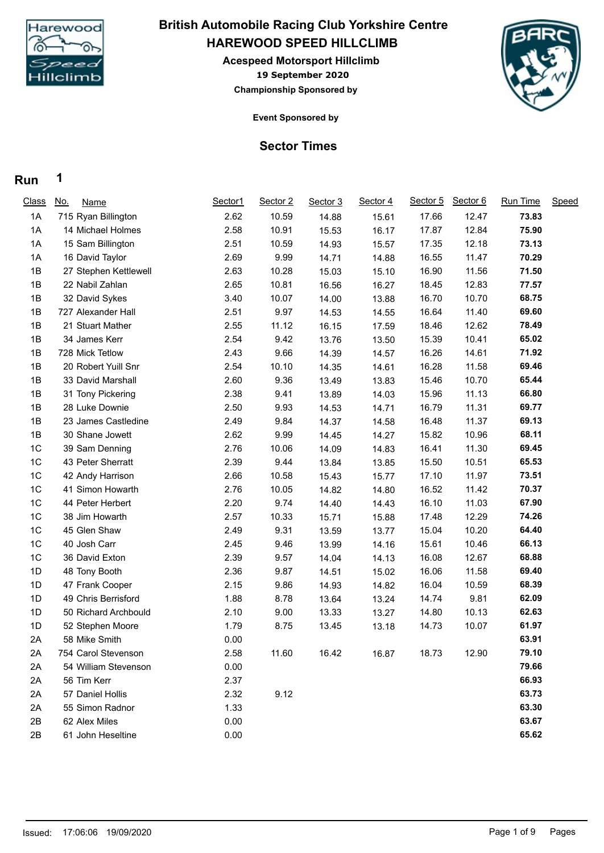

## **HAREWOOD SPEED HILLCLIMB British Automobile Racing Club Yorkshire Centre**

**19 September 2020 Acespeed Motorsport Hillclimb Championship Sponsored by**



**Event Sponsored by**

### **Sector Times**

| <b>Class</b>   | <u>No.</u><br><b>Name</b> | Sector1 | Sector 2 | Sector 3 | Sector 4 | Sector 5 | Sector 6 | Run Time | Speed |
|----------------|---------------------------|---------|----------|----------|----------|----------|----------|----------|-------|
| 1A             | 715 Ryan Billington       | 2.62    | 10.59    | 14.88    | 15.61    | 17.66    | 12.47    | 73.83    |       |
| 1A             | 14 Michael Holmes         | 2.58    | 10.91    | 15.53    | 16.17    | 17.87    | 12.84    | 75.90    |       |
| 1A             | 15 Sam Billington         | 2.51    | 10.59    | 14.93    | 15.57    | 17.35    | 12.18    | 73.13    |       |
| 1A             | 16 David Taylor           | 2.69    | 9.99     | 14.71    | 14.88    | 16.55    | 11.47    | 70.29    |       |
| 1B             | 27 Stephen Kettlewell     | 2.63    | 10.28    | 15.03    | 15.10    | 16.90    | 11.56    | 71.50    |       |
| 1B             | 22 Nabil Zahlan           | 2.65    | 10.81    | 16.56    | 16.27    | 18.45    | 12.83    | 77.57    |       |
| 1B             | 32 David Sykes            | 3.40    | 10.07    | 14.00    | 13.88    | 16.70    | 10.70    | 68.75    |       |
| 1B             | 727 Alexander Hall        | 2.51    | 9.97     | 14.53    | 14.55    | 16.64    | 11.40    | 69.60    |       |
| 1B             | 21 Stuart Mather          | 2.55    | 11.12    | 16.15    | 17.59    | 18.46    | 12.62    | 78.49    |       |
| 1B             | 34 James Kerr             | 2.54    | 9.42     | 13.76    | 13.50    | 15.39    | 10.41    | 65.02    |       |
| 1B             | 728 Mick Tetlow           | 2.43    | 9.66     | 14.39    | 14.57    | 16.26    | 14.61    | 71.92    |       |
| 1B             | 20 Robert Yuill Snr       | 2.54    | 10.10    | 14.35    | 14.61    | 16.28    | 11.58    | 69.46    |       |
| 1B             | 33 David Marshall         | 2.60    | 9.36     | 13.49    | 13.83    | 15.46    | 10.70    | 65.44    |       |
| 1B             | 31 Tony Pickering         | 2.38    | 9.41     | 13.89    | 14.03    | 15.96    | 11.13    | 66.80    |       |
| 1B             | 28 Luke Downie            | 2.50    | 9.93     | 14.53    | 14.71    | 16.79    | 11.31    | 69.77    |       |
| 1B             | 23 James Castledine       | 2.49    | 9.84     | 14.37    | 14.58    | 16.48    | 11.37    | 69.13    |       |
| 1B             | 30 Shane Jowett           | 2.62    | 9.99     | 14.45    | 14.27    | 15.82    | 10.96    | 68.11    |       |
| 1C             | 39 Sam Denning            | 2.76    | 10.06    | 14.09    | 14.83    | 16.41    | 11.30    | 69.45    |       |
| 1C             | 43 Peter Sherratt         | 2.39    | 9.44     | 13.84    | 13.85    | 15.50    | 10.51    | 65.53    |       |
| 1C             | 42 Andy Harrison          | 2.66    | 10.58    | 15.43    | 15.77    | 17.10    | 11.97    | 73.51    |       |
| 1C             | 41 Simon Howarth          | 2.76    | 10.05    | 14.82    | 14.80    | 16.52    | 11.42    | 70.37    |       |
| 1C             | 44 Peter Herbert          | 2.20    | 9.74     | 14.40    | 14.43    | 16.10    | 11.03    | 67.90    |       |
| 1C             | 38 Jim Howarth            | 2.57    | 10.33    | 15.71    | 15.88    | 17.48    | 12.29    | 74.26    |       |
| 1 <sup>C</sup> | 45 Glen Shaw              | 2.49    | 9.31     | 13.59    | 13.77    | 15.04    | 10.20    | 64.40    |       |
| 1C             | 40 Josh Carr              | 2.45    | 9.46     | 13.99    | 14.16    | 15.61    | 10.46    | 66.13    |       |
| 1C             | 36 David Exton            | 2.39    | 9.57     | 14.04    | 14.13    | 16.08    | 12.67    | 68.88    |       |
| 1D             | 48 Tony Booth             | 2.36    | 9.87     | 14.51    | 15.02    | 16.06    | 11.58    | 69.40    |       |
| 1D             | 47 Frank Cooper           | 2.15    | 9.86     | 14.93    | 14.82    | 16.04    | 10.59    | 68.39    |       |
| 1D             | 49 Chris Berrisford       | 1.88    | 8.78     | 13.64    | 13.24    | 14.74    | 9.81     | 62.09    |       |
| 1D             | 50 Richard Archbould      | 2.10    | 9.00     | 13.33    | 13.27    | 14.80    | 10.13    | 62.63    |       |
| 1D             | 52 Stephen Moore          | 1.79    | 8.75     | 13.45    | 13.18    | 14.73    | 10.07    | 61.97    |       |
| 2A             | 58 Mike Smith             | 0.00    |          |          |          |          |          | 63.91    |       |
| 2Α             | 754 Carol Stevenson       | 2.58    | 11.60    | 16.42    | 16.87    | 18.73    | 12.90    | 79.10    |       |
| 2A             | 54 William Stevenson      | 0.00    |          |          |          |          |          | 79.66    |       |
| 2A             | 56 Tim Kerr               | 2.37    |          |          |          |          |          | 66.93    |       |
| 2A             | 57 Daniel Hollis          | 2.32    | 9.12     |          |          |          |          | 63.73    |       |
| 2A             | 55 Simon Radnor           | 1.33    |          |          |          |          |          | 63.30    |       |
| 2B             | 62 Alex Miles             | 0.00    |          |          |          |          |          | 63.67    |       |
| 2B             | 61 John Heseltine         | 0.00    |          |          |          |          |          | 65.62    |       |
|                |                           |         |          |          |          |          |          |          |       |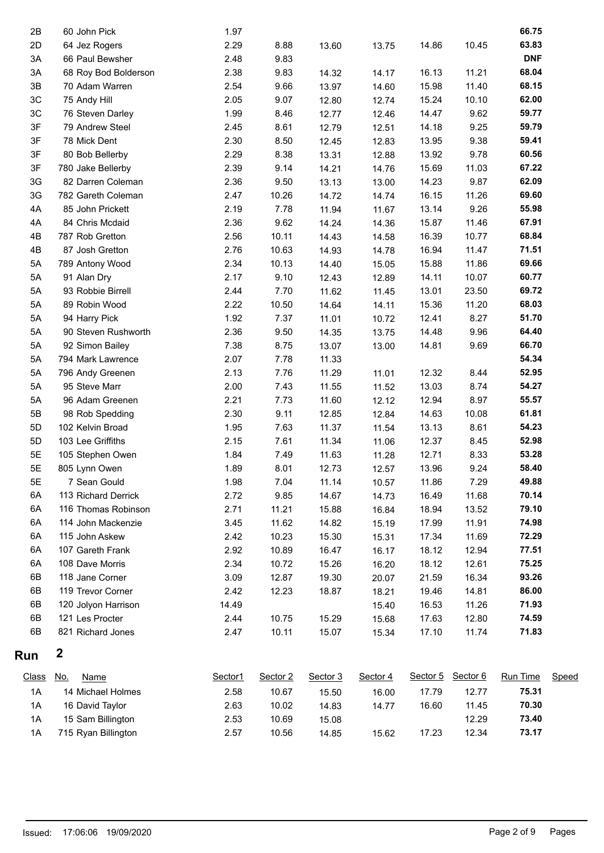| 2B            | 60 John Pick              | 1.97    |          |          |          |          |          | 66.75      |       |
|---------------|---------------------------|---------|----------|----------|----------|----------|----------|------------|-------|
| 2D            | 64 Jez Rogers             | 2.29    | 8.88     | 13.60    | 13.75    | 14.86    | 10.45    | 63.83      |       |
| 3A            | 66 Paul Bewsher           | 2.48    | 9.83     |          |          |          |          | <b>DNF</b> |       |
| 3A            | 68 Roy Bod Bolderson      | 2.38    | 9.83     | 14.32    | 14.17    | 16.13    | 11.21    | 68.04      |       |
| $3\mathsf{B}$ | 70 Adam Warren            | 2.54    | 9.66     | 13.97    | 14.60    | 15.98    | 11.40    | 68.15      |       |
| $3C$          | 75 Andy Hill              | 2.05    | 9.07     | 12.80    | 12.74    | 15.24    | 10.10    | 62.00      |       |
| 3C            | 76 Steven Darley          | 1.99    | 8.46     | 12.77    | 12.46    | 14.47    | 9.62     | 59.77      |       |
| 3F            | 79 Andrew Steel           | 2.45    | 8.61     | 12.79    | 12.51    | 14.18    | 9.25     | 59.79      |       |
| 3F            | 78 Mick Dent              | 2.30    | 8.50     | 12.45    | 12.83    | 13.95    | 9.38     | 59.41      |       |
| 3F            | 80 Bob Bellerby           | 2.29    | 8.38     | 13.31    | 12.88    | 13.92    | 9.78     | 60.56      |       |
| 3F            | 780 Jake Bellerby         | 2.39    | 9.14     | 14.21    | 14.76    | 15.69    | 11.03    | 67.22      |       |
| 3G            | 82 Darren Coleman         | 2.36    | 9.50     | 13.13    | 13.00    | 14.23    | 9.87     | 62.09      |       |
| 3G            | 782 Gareth Coleman        | 2.47    | 10.26    | 14.72    | 14.74    | 16.15    | 11.26    | 69.60      |       |
| 4A            | 85 John Prickett          | 2.19    | 7.78     | 11.94    | 11.67    | 13.14    | 9.26     | 55.98      |       |
| 4A            | 84 Chris Mcdaid           | 2.36    | 9.62     | 14.24    | 14.36    | 15.87    | 11.46    | 67.91      |       |
| 4B            | 787 Rob Gretton           | 2.56    | 10.11    | 14.43    | 14.58    | 16.39    | 10.77    | 68.84      |       |
| 4B            | 87 Josh Gretton           | 2.76    | 10.63    | 14.93    | 14.78    | 16.94    | 11.47    | 71.51      |       |
| 5A            | 789 Antony Wood           | 2.34    | 10.13    | 14.40    | 15.05    | 15.88    | 11.86    | 69.66      |       |
| 5A            | 91 Alan Dry               | 2.17    | 9.10     | 12.43    | 12.89    | 14.11    | 10.07    | 60.77      |       |
| 5A            | 93 Robbie Birrell         | 2.44    | 7.70     | 11.62    | 11.45    | 13.01    | 23.50    | 69.72      |       |
| 5A            | 89 Robin Wood             | 2.22    | 10.50    | 14.64    | 14.11    | 15.36    | 11.20    | 68.03      |       |
| 5A            | 94 Harry Pick             | 1.92    | 7.37     | 11.01    | 10.72    | 12.41    | 8.27     | 51.70      |       |
| 5A            | 90 Steven Rushworth       | 2.36    | 9.50     | 14.35    | 13.75    | 14.48    | 9.96     | 64.40      |       |
| 5A            | 92 Simon Bailey           | 7.38    | 8.75     | 13.07    | 13.00    | 14.81    | 9.69     | 66.70      |       |
| 5A            | 794 Mark Lawrence         | 2.07    | 7.78     | 11.33    |          |          |          | 54.34      |       |
| 5A            | 796 Andy Greenen          | 2.13    | 7.76     | 11.29    | 11.01    | 12.32    | 8.44     | 52.95      |       |
| 5A            | 95 Steve Marr             | 2.00    | 7.43     | 11.55    | 11.52    | 13.03    | 8.74     | 54.27      |       |
| 5A            | 96 Adam Greenen           | 2.21    | 7.73     | 11.60    | 12.12    | 12.94    | 8.97     | 55.57      |       |
| 5B            | 98 Rob Spedding           | 2.30    | 9.11     | 12.85    | 12.84    | 14.63    | 10.08    | 61.81      |       |
| 5D            | 102 Kelvin Broad          | 1.95    | 7.63     | 11.37    | 11.54    | 13.13    | 8.61     | 54.23      |       |
| 5D            | 103 Lee Griffiths         | 2.15    | 7.61     | 11.34    | 11.06    | 12.37    | 8.45     | 52.98      |       |
| 5E            | 105 Stephen Owen          | 1.84    | 7.49     | 11.63    | 11.28    | 12.71    | 8.33     | 53.28      |       |
| 5E            | 805 Lynn Owen             | 1.89    | 8.01     | 12.73    | 12.57    | 13.96    | 9.24     | 58.40      |       |
| 5E            | 7 Sean Gould              | 1.98    | 7.04     | 11.14    | 10.57    | 11.86    | 7.29     | 49.88      |       |
| 6A            | 113 Richard Derrick       | 2.72    | 9.85     | 14.67    | 14.73    | 16.49    | 11.68    | 70.14      |       |
| 6A            | 116 Thomas Robinson       | 2.71    | 11.21    | 15.88    | 16.84    | 18.94    | 13.52    | 79.10      |       |
| 6A            | 114 John Mackenzie        | 3.45    | 11.62    | 14.82    | 15.19    | 17.99    | 11.91    | 74.98      |       |
| 6A            | 115 John Askew            | 2.42    | 10.23    | 15.30    | 15.31    | 17.34    | 11.69    | 72.29      |       |
| 6A            | 107 Gareth Frank          | 2.92    | 10.89    | 16.47    | 16.17    | 18.12    | 12.94    | 77.51      |       |
| 6A            | 108 Dave Morris           | 2.34    | 10.72    | 15.26    | 16.20    | 18.12    | 12.61    | 75.25      |       |
| 6B            | 118 Jane Corner           | 3.09    | 12.87    | 19.30    | 20.07    | 21.59    | 16.34    | 93.26      |       |
| 6B            | 119 Trevor Corner         | 2.42    | 12.23    | 18.87    | 18.21    | 19.46    | 14.81    | 86.00      |       |
| 6B            | 120 Jolyon Harrison       | 14.49   |          |          | 15.40    | 16.53    | 11.26    | 71.93      |       |
| 6B            | 121 Les Procter           | 2.44    | 10.75    | 15.29    | 15.68    | 17.63    | 12.80    | 74.59      |       |
| 6B            | 821 Richard Jones         | 2.47    | 10.11    | 15.07    | 15.34    | 17.10    | 11.74    | 71.83      |       |
| Run           | 2                         |         |          |          |          |          |          |            |       |
| <b>Class</b>  | <u>No.</u><br><b>Name</b> | Sector1 | Sector 2 | Sector 3 | Sector 4 | Sector 5 | Sector 6 | Run Time   | Speed |
| 1A            | 14 Michael Holmes         | 2.58    | 10.67    | 15.50    | 16.00    | 17.79    | 12.77    | 75.31      |       |
| 1A            | 16 David Taylor           | 2.63    | 10.02    | 14.83    | 14.77    | 16.60    | 11.45    | 70.30      |       |
| 1A            | 15 Sam Billington         | 2.53    | 10.69    | 15.08    |          |          | 12.29    | 73.40      |       |
| 1A            | 715 Ryan Billington       | 2.57    | 10.56    | 14.85    | 15.62    | 17.23    | 12.34    | 73.17      |       |
|               |                           |         |          |          |          |          |          |            |       |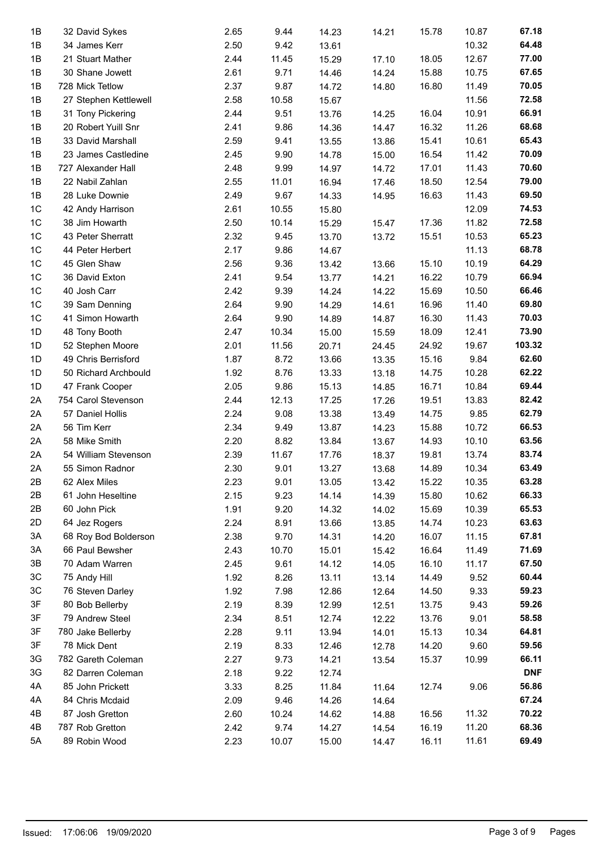| 1B             | 32 David Sykes        | 2.65 | 9.44  | 14.23 | 14.21 | 15.78 | 10.87 | 67.18      |
|----------------|-----------------------|------|-------|-------|-------|-------|-------|------------|
|                |                       |      |       |       |       |       |       | 64.48      |
| 1B             | 34 James Kerr         | 2.50 | 9.42  | 13.61 |       |       | 10.32 |            |
| 1B             | 21 Stuart Mather      | 2.44 | 11.45 | 15.29 | 17.10 | 18.05 | 12.67 | 77.00      |
| 1B             | 30 Shane Jowett       | 2.61 | 9.71  | 14.46 | 14.24 | 15.88 | 10.75 | 67.65      |
| 1B             | 728 Mick Tetlow       | 2.37 | 9.87  | 14.72 | 14.80 | 16.80 | 11.49 | 70.05      |
| 1B             | 27 Stephen Kettlewell | 2.58 | 10.58 | 15.67 |       |       | 11.56 | 72.58      |
| 1B             | 31 Tony Pickering     | 2.44 | 9.51  | 13.76 | 14.25 | 16.04 | 10.91 | 66.91      |
| 1B             | 20 Robert Yuill Snr   | 2.41 | 9.86  | 14.36 | 14.47 | 16.32 | 11.26 | 68.68      |
| 1B             | 33 David Marshall     | 2.59 | 9.41  | 13.55 | 13.86 | 15.41 | 10.61 | 65.43      |
| 1B             | 23 James Castledine   | 2.45 | 9.90  | 14.78 | 15.00 | 16.54 | 11.42 | 70.09      |
| 1B             | 727 Alexander Hall    | 2.48 | 9.99  | 14.97 | 14.72 | 17.01 | 11.43 | 70.60      |
| 1B             | 22 Nabil Zahlan       | 2.55 | 11.01 | 16.94 | 17.46 | 18.50 | 12.54 | 79.00      |
| 1B             | 28 Luke Downie        | 2.49 | 9.67  | 14.33 | 14.95 | 16.63 | 11.43 | 69.50      |
| 1 <sup>C</sup> | 42 Andy Harrison      | 2.61 | 10.55 | 15.80 |       |       | 12.09 | 74.53      |
| 1C             | 38 Jim Howarth        | 2.50 | 10.14 | 15.29 | 15.47 | 17.36 | 11.82 | 72.58      |
| 1C             | 43 Peter Sherratt     | 2.32 | 9.45  | 13.70 | 13.72 | 15.51 | 10.53 | 65.23      |
| 1 <sup>C</sup> | 44 Peter Herbert      | 2.17 | 9.86  | 14.67 |       |       | 11.13 | 68.78      |
| 1 <sup>C</sup> | 45 Glen Shaw          | 2.56 | 9.36  | 13.42 | 13.66 | 15.10 | 10.19 | 64.29      |
| 1 <sup>C</sup> | 36 David Exton        | 2.41 | 9.54  |       |       | 16.22 | 10.79 | 66.94      |
|                |                       |      |       | 13.77 | 14.21 |       |       |            |
| 1 <sup>C</sup> | 40 Josh Carr          | 2.42 | 9.39  | 14.24 | 14.22 | 15.69 | 10.50 | 66.46      |
| 1C             | 39 Sam Denning        | 2.64 | 9.90  | 14.29 | 14.61 | 16.96 | 11.40 | 69.80      |
| 1C             | 41 Simon Howarth      | 2.64 | 9.90  | 14.89 | 14.87 | 16.30 | 11.43 | 70.03      |
| 1D             | 48 Tony Booth         | 2.47 | 10.34 | 15.00 | 15.59 | 18.09 | 12.41 | 73.90      |
| 1D             | 52 Stephen Moore      | 2.01 | 11.56 | 20.71 | 24.45 | 24.92 | 19.67 | 103.32     |
| 1D             | 49 Chris Berrisford   | 1.87 | 8.72  | 13.66 | 13.35 | 15.16 | 9.84  | 62.60      |
| 1D             | 50 Richard Archbould  | 1.92 | 8.76  | 13.33 | 13.18 | 14.75 | 10.28 | 62.22      |
| 1D             | 47 Frank Cooper       | 2.05 | 9.86  | 15.13 | 14.85 | 16.71 | 10.84 | 69.44      |
| 2A             | 754 Carol Stevenson   | 2.44 | 12.13 | 17.25 | 17.26 | 19.51 | 13.83 | 82.42      |
| 2A             | 57 Daniel Hollis      | 2.24 | 9.08  | 13.38 | 13.49 | 14.75 | 9.85  | 62.79      |
| 2A             | 56 Tim Kerr           | 2.34 | 9.49  | 13.87 | 14.23 | 15.88 | 10.72 | 66.53      |
| 2A             | 58 Mike Smith         | 2.20 | 8.82  | 13.84 | 13.67 | 14.93 | 10.10 | 63.56      |
| 2A             | 54 William Stevenson  | 2.39 | 11.67 | 17.76 | 18.37 | 19.81 | 13.74 | 83.74      |
| 2A             | 55 Simon Radnor       | 2.30 | 9.01  | 13.27 | 13.68 | 14.89 | 10.34 | 63.49      |
| 2B             | 62 Alex Miles         | 2.23 | 9.01  | 13.05 | 13.42 | 15.22 | 10.35 | 63.28      |
| 2B             | 61 John Heseltine     | 2.15 | 9.23  | 14.14 | 14.39 | 15.80 | 10.62 | 66.33      |
| 2B             | 60 John Pick          | 1.91 | 9.20  | 14.32 | 14.02 | 15.69 | 10.39 | 65.53      |
|                |                       |      |       |       |       |       |       |            |
| 2D             | 64 Jez Rogers         | 2.24 | 8.91  | 13.66 | 13.85 | 14.74 | 10.23 | 63.63      |
| 3A             | 68 Roy Bod Bolderson  | 2.38 | 9.70  | 14.31 | 14.20 | 16.07 | 11.15 | 67.81      |
| 3A             | 66 Paul Bewsher       | 2.43 | 10.70 | 15.01 | 15.42 | 16.64 | 11.49 | 71.69      |
| 3B             | 70 Adam Warren        | 2.45 | 9.61  | 14.12 | 14.05 | 16.10 | 11.17 | 67.50      |
| 3C             | 75 Andy Hill          | 1.92 | 8.26  | 13.11 | 13.14 | 14.49 | 9.52  | 60.44      |
| 3C             | 76 Steven Darley      | 1.92 | 7.98  | 12.86 | 12.64 | 14.50 | 9.33  | 59.23      |
| 3F             | 80 Bob Bellerby       | 2.19 | 8.39  | 12.99 | 12.51 | 13.75 | 9.43  | 59.26      |
| 3F             | 79 Andrew Steel       | 2.34 | 8.51  | 12.74 | 12.22 | 13.76 | 9.01  | 58.58      |
| 3F             | 780 Jake Bellerby     | 2.28 | 9.11  | 13.94 | 14.01 | 15.13 | 10.34 | 64.81      |
| 3F             | 78 Mick Dent          | 2.19 | 8.33  | 12.46 | 12.78 | 14.20 | 9.60  | 59.56      |
| 3G             | 782 Gareth Coleman    | 2.27 | 9.73  | 14.21 | 13.54 | 15.37 | 10.99 | 66.11      |
| 3G             | 82 Darren Coleman     | 2.18 | 9.22  | 12.74 |       |       |       | <b>DNF</b> |
| 4A             | 85 John Prickett      | 3.33 | 8.25  | 11.84 | 11.64 | 12.74 | 9.06  | 56.86      |
| 4A             | 84 Chris Mcdaid       | 2.09 | 9.46  | 14.26 | 14.64 |       |       | 67.24      |
| 4B             | 87 Josh Gretton       | 2.60 | 10.24 | 14.62 | 14.88 | 16.56 | 11.32 | 70.22      |
| 4B             | 787 Rob Gretton       | 2.42 | 9.74  | 14.27 | 14.54 | 16.19 | 11.20 | 68.36      |
| 5A             | 89 Robin Wood         | 2.23 | 10.07 | 15.00 | 14.47 | 16.11 | 11.61 | 69.49      |
|                |                       |      |       |       |       |       |       |            |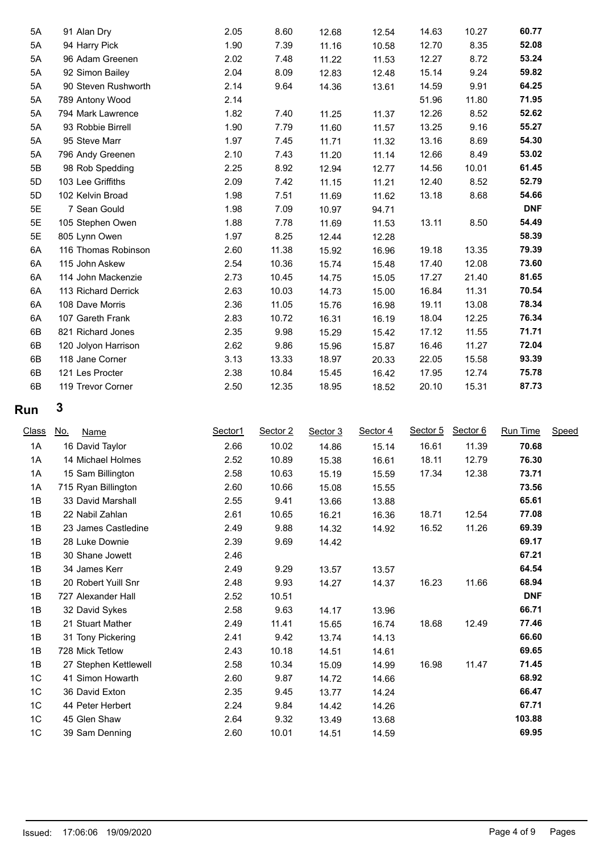| 5A | 91 Alan Dry         | 2.05 | 8.60  | 12.68 | 12.54 | 14.63 | 10.27 | 60.77      |
|----|---------------------|------|-------|-------|-------|-------|-------|------------|
| 5A | 94 Harry Pick       | 1.90 | 7.39  | 11.16 | 10.58 | 12.70 | 8.35  | 52.08      |
| 5A | 96 Adam Greenen     | 2.02 | 7.48  | 11.22 | 11.53 | 12.27 | 8.72  | 53.24      |
| 5A | 92 Simon Bailey     | 2.04 | 8.09  | 12.83 | 12.48 | 15.14 | 9.24  | 59.82      |
| 5A | 90 Steven Rushworth | 2.14 | 9.64  | 14.36 | 13.61 | 14.59 | 9.91  | 64.25      |
| 5A | 789 Antony Wood     | 2.14 |       |       |       | 51.96 | 11.80 | 71.95      |
| 5A | 794 Mark Lawrence   | 1.82 | 7.40  | 11.25 | 11.37 | 12.26 | 8.52  | 52.62      |
| 5A | 93 Robbie Birrell   | 1.90 | 7.79  | 11.60 | 11.57 | 13.25 | 9.16  | 55.27      |
| 5A | 95 Steve Marr       | 1.97 | 7.45  | 11.71 | 11.32 | 13.16 | 8.69  | 54.30      |
| 5A | 796 Andy Greenen    | 2.10 | 7.43  | 11.20 | 11.14 | 12.66 | 8.49  | 53.02      |
| 5B | 98 Rob Spedding     | 2.25 | 8.92  | 12.94 | 12.77 | 14.56 | 10.01 | 61.45      |
| 5D | 103 Lee Griffiths   | 2.09 | 7.42  | 11.15 | 11.21 | 12.40 | 8.52  | 52.79      |
| 5D | 102 Kelvin Broad    | 1.98 | 7.51  | 11.69 | 11.62 | 13.18 | 8.68  | 54.66      |
| 5E | 7 Sean Gould        | 1.98 | 7.09  | 10.97 | 94.71 |       |       | <b>DNF</b> |
| 5E | 105 Stephen Owen    | 1.88 | 7.78  | 11.69 | 11.53 | 13.11 | 8.50  | 54.49      |
| 5E | 805 Lynn Owen       | 1.97 | 8.25  | 12.44 | 12.28 |       |       | 58.39      |
| 6A | 116 Thomas Robinson | 2.60 | 11.38 | 15.92 | 16.96 | 19.18 | 13.35 | 79.39      |
| 6A | 115 John Askew      | 2.54 | 10.36 | 15.74 | 15.48 | 17.40 | 12.08 | 73.60      |
| 6A | 114 John Mackenzie  | 2.73 | 10.45 | 14.75 | 15.05 | 17.27 | 21.40 | 81.65      |
| 6A | 113 Richard Derrick | 2.63 | 10.03 | 14.73 | 15.00 | 16.84 | 11.31 | 70.54      |
| 6A | 108 Dave Morris     | 2.36 | 11.05 | 15.76 | 16.98 | 19.11 | 13.08 | 78.34      |
| 6A | 107 Gareth Frank    | 2.83 | 10.72 | 16.31 | 16.19 | 18.04 | 12.25 | 76.34      |
| 6B | 821 Richard Jones   | 2.35 | 9.98  | 15.29 | 15.42 | 17.12 | 11.55 | 71.71      |
| 6B | 120 Jolyon Harrison | 2.62 | 9.86  | 15.96 | 15.87 | 16.46 | 11.27 | 72.04      |
| 6B | 118 Jane Corner     | 3.13 | 13.33 | 18.97 | 20.33 | 22.05 | 15.58 | 93.39      |
| 6B | 121 Les Procter     | 2.38 | 10.84 | 15.45 | 16.42 | 17.95 | 12.74 | 75.78      |
| 6B | 119 Trevor Corner   | 2.50 | 12.35 | 18.95 | 18.52 | 20.10 | 15.31 | 87.73      |

| Class<br><u>No.</u><br>Name | Sector1 | Sector 2 | Sector 3 | Sector 4 | Sector 5 | Sector 6 | <b>Run Time</b> | Speed |
|-----------------------------|---------|----------|----------|----------|----------|----------|-----------------|-------|
| 16 David Taylor             | 2.66    | 10.02    | 14.86    | 15.14    | 16.61    | 11.39    | 70.68           |       |
| 14 Michael Holmes           | 2.52    | 10.89    | 15.38    | 16.61    | 18.11    | 12.79    | 76.30           |       |
| 15 Sam Billington           | 2.58    | 10.63    | 15.19    | 15.59    | 17.34    | 12.38    | 73.71           |       |
| 715 Ryan Billington         | 2.60    | 10.66    | 15.08    | 15.55    |          |          | 73.56           |       |
| 33 David Marshall           | 2.55    | 9.41     | 13.66    | 13.88    |          |          | 65.61           |       |
| 22 Nabil Zahlan             | 2.61    | 10.65    | 16.21    | 16.36    | 18.71    | 12.54    | 77.08           |       |
| 23 James Castledine         | 2.49    | 9.88     | 14.32    | 14.92    | 16.52    | 11.26    | 69.39           |       |
| 28 Luke Downie              | 2.39    | 9.69     | 14.42    |          |          |          | 69.17           |       |
| 30 Shane Jowett             | 2.46    |          |          |          |          |          | 67.21           |       |
| 34 James Kerr               | 2.49    | 9.29     | 13.57    | 13.57    |          |          | 64.54           |       |
| 20 Robert Yuill Snr         | 2.48    | 9.93     | 14.27    | 14.37    | 16.23    | 11.66    | 68.94           |       |
| 727 Alexander Hall          | 2.52    | 10.51    |          |          |          |          | <b>DNF</b>      |       |
| 32 David Sykes              | 2.58    | 9.63     | 14.17    | 13.96    |          |          | 66.71           |       |
| 21 Stuart Mather            | 2.49    | 11.41    | 15.65    | 16.74    | 18.68    | 12.49    | 77.46           |       |
| 31 Tony Pickering           | 2.41    | 9.42     | 13.74    | 14.13    |          |          | 66.60           |       |
| 728 Mick Tetlow             | 2.43    | 10.18    | 14.51    | 14.61    |          |          | 69.65           |       |
| 27 Stephen Kettlewell       | 2.58    | 10.34    | 15.09    | 14.99    | 16.98    | 11.47    | 71.45           |       |
| 41 Simon Howarth            | 2.60    | 9.87     | 14.72    | 14.66    |          |          | 68.92           |       |
| 36 David Exton              | 2.35    | 9.45     | 13.77    | 14.24    |          |          | 66.47           |       |
| 44 Peter Herbert            | 2.24    | 9.84     | 14.42    | 14.26    |          |          | 67.71           |       |
| 45 Glen Shaw                | 2.64    | 9.32     | 13.49    | 13.68    |          |          | 103.88          |       |
| 39 Sam Denning              | 2.60    | 10.01    | 14.51    | 14.59    |          |          | 69.95           |       |
|                             |         |          |          |          |          |          |                 |       |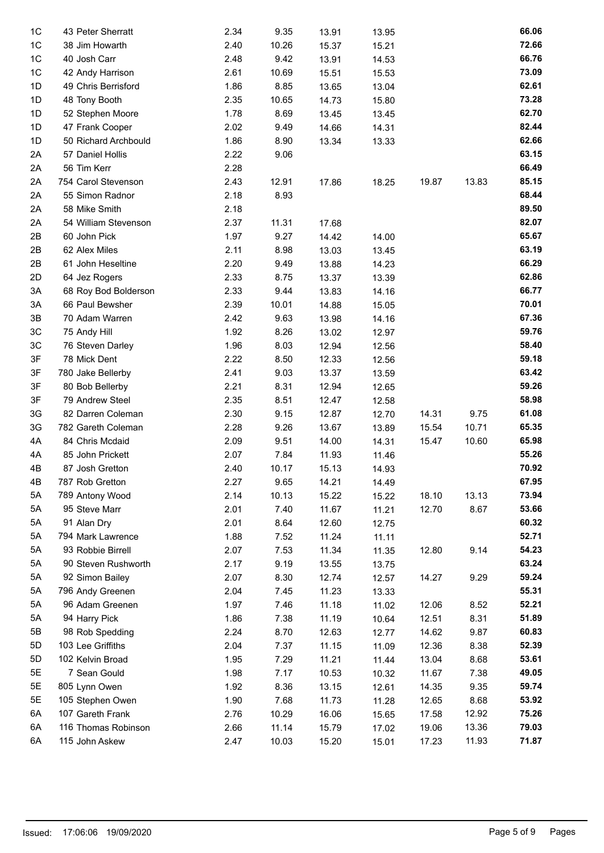| 1 <sup>C</sup> | 43 Peter Sherratt                   | 2.34 | 9.35  | 13.91 | 13.95          |       |       | 66.06 |
|----------------|-------------------------------------|------|-------|-------|----------------|-------|-------|-------|
| 1C             | 38 Jim Howarth                      | 2.40 | 10.26 | 15.37 | 15.21          |       |       | 72.66 |
| 1C             | 40 Josh Carr                        | 2.48 | 9.42  | 13.91 | 14.53          |       |       | 66.76 |
| 1C             | 42 Andy Harrison                    | 2.61 | 10.69 | 15.51 | 15.53          |       |       | 73.09 |
| 1D             | 49 Chris Berrisford                 | 1.86 | 8.85  | 13.65 | 13.04          |       |       | 62.61 |
| 1D             | 48 Tony Booth                       | 2.35 | 10.65 | 14.73 | 15.80          |       |       | 73.28 |
| 1D             | 52 Stephen Moore                    | 1.78 | 8.69  | 13.45 | 13.45          |       |       | 62.70 |
| 1D             | 47 Frank Cooper                     | 2.02 | 9.49  | 14.66 | 14.31          |       |       | 82.44 |
| 1D             | 50 Richard Archbould                | 1.86 | 8.90  | 13.34 | 13.33          |       |       | 62.66 |
| 2A             | 57 Daniel Hollis                    | 2.22 | 9.06  |       |                |       |       | 63.15 |
| 2A             | 56 Tim Kerr                         | 2.28 |       |       |                |       |       | 66.49 |
| 2A             | 754 Carol Stevenson                 | 2.43 | 12.91 | 17.86 | 18.25          | 19.87 | 13.83 | 85.15 |
| 2A             | 55 Simon Radnor                     | 2.18 | 8.93  |       |                |       |       | 68.44 |
| 2A             | 58 Mike Smith                       | 2.18 |       |       |                |       |       | 89.50 |
| 2A             | 54 William Stevenson                | 2.37 | 11.31 | 17.68 |                |       |       | 82.07 |
| 2B             | 60 John Pick                        | 1.97 | 9.27  | 14.42 | 14.00          |       |       | 65.67 |
| 2B             | 62 Alex Miles                       | 2.11 | 8.98  | 13.03 | 13.45          |       |       | 63.19 |
| 2B             | 61 John Heseltine                   | 2.20 | 9.49  | 13.88 | 14.23          |       |       | 66.29 |
| 2D             | 64 Jez Rogers                       | 2.33 | 8.75  | 13.37 | 13.39          |       |       | 62.86 |
| 3A             | 68 Roy Bod Bolderson                | 2.33 | 9.44  | 13.83 | 14.16          |       |       | 66.77 |
| 3A             | 66 Paul Bewsher                     | 2.39 | 10.01 | 14.88 | 15.05          |       |       | 70.01 |
| 3B             | 70 Adam Warren                      | 2.42 | 9.63  | 13.98 | 14.16          |       |       | 67.36 |
| 3C             | 75 Andy Hill                        | 1.92 | 8.26  | 13.02 | 12.97          |       |       | 59.76 |
| 3C             | 76 Steven Darley                    | 1.96 | 8.03  | 12.94 | 12.56          |       |       | 58.40 |
| 3F             | 78 Mick Dent                        | 2.22 | 8.50  | 12.33 | 12.56          |       |       | 59.18 |
| 3F             | 780 Jake Bellerby                   | 2.41 | 9.03  | 13.37 | 13.59          |       |       | 63.42 |
| 3F             | 80 Bob Bellerby                     | 2.21 | 8.31  | 12.94 | 12.65          |       |       | 59.26 |
| 3F             | 79 Andrew Steel                     | 2.35 | 8.51  | 12.47 | 12.58          |       |       | 58.98 |
| 3G             | 82 Darren Coleman                   | 2.30 | 9.15  | 12.87 | 12.70          | 14.31 | 9.75  | 61.08 |
| 3G             | 782 Gareth Coleman                  | 2.28 | 9.26  | 13.67 | 13.89          | 15.54 | 10.71 | 65.35 |
| 4A             | 84 Chris Mcdaid                     | 2.09 | 9.51  | 14.00 | 14.31          | 15.47 | 10.60 | 65.98 |
| 4A             | 85 John Prickett                    | 2.07 | 7.84  | 11.93 | 11.46          |       |       | 55.26 |
| 4B             | 87 Josh Gretton                     | 2.40 | 10.17 | 15.13 | 14.93          |       |       | 70.92 |
| 4B             | 787 Rob Gretton                     | 2.27 | 9.65  | 14.21 | 14.49          |       |       | 67.95 |
| 5A             | 789 Antony Wood                     | 2.14 | 10.13 | 15.22 | 15.22          | 18.10 | 13.13 | 73.94 |
| 5A             | 95 Steve Marr                       | 2.01 | 7.40  | 11.67 | 11.21          | 12.70 | 8.67  | 53.66 |
| 5A             | 91 Alan Dry                         | 2.01 | 8.64  | 12.60 | 12.75          |       |       | 60.32 |
| 5A             | 794 Mark Lawrence                   | 1.88 | 7.52  | 11.24 | 11.11          |       |       | 52.71 |
| 5A             | 93 Robbie Birrell                   | 2.07 | 7.53  | 11.34 | 11.35          | 12.80 | 9.14  | 54.23 |
| 5A             | 90 Steven Rushworth                 | 2.17 | 9.19  | 13.55 |                |       |       | 63.24 |
| 5A             | 92 Simon Bailey                     | 2.07 | 8.30  |       | 13.75          | 14.27 | 9.29  | 59.24 |
| 5A             |                                     | 2.04 | 7.45  | 12.74 | 12.57<br>13.33 |       |       | 55.31 |
| 5A             | 796 Andy Greenen<br>96 Adam Greenen |      |       | 11.23 |                |       |       | 52.21 |
|                |                                     | 1.97 | 7.46  | 11.18 | 11.02          | 12.06 | 8.52  | 51.89 |
| 5A             | 94 Harry Pick                       | 1.86 | 7.38  | 11.19 | 10.64          | 12.51 | 8.31  |       |
| 5B             | 98 Rob Spedding                     | 2.24 | 8.70  | 12.63 | 12.77          | 14.62 | 9.87  | 60.83 |
| 5D             | 103 Lee Griffiths                   | 2.04 | 7.37  | 11.15 | 11.09          | 12.36 | 8.38  | 52.39 |
| 5D             | 102 Kelvin Broad                    | 1.95 | 7.29  | 11.21 | 11.44          | 13.04 | 8.68  | 53.61 |
| 5E             | 7 Sean Gould                        | 1.98 | 7.17  | 10.53 | 10.32          | 11.67 | 7.38  | 49.05 |
| 5E             | 805 Lynn Owen                       | 1.92 | 8.36  | 13.15 | 12.61          | 14.35 | 9.35  | 59.74 |
| 5E             | 105 Stephen Owen                    | 1.90 | 7.68  | 11.73 | 11.28          | 12.65 | 8.68  | 53.92 |
| 6A             | 107 Gareth Frank                    | 2.76 | 10.29 | 16.06 | 15.65          | 17.58 | 12.92 | 75.26 |
| 6A             | 116 Thomas Robinson                 | 2.66 | 11.14 | 15.79 | 17.02          | 19.06 | 13.36 | 79.03 |
| 6A             | 115 John Askew                      | 2.47 | 10.03 | 15.20 | 15.01          | 17.23 | 11.93 | 71.87 |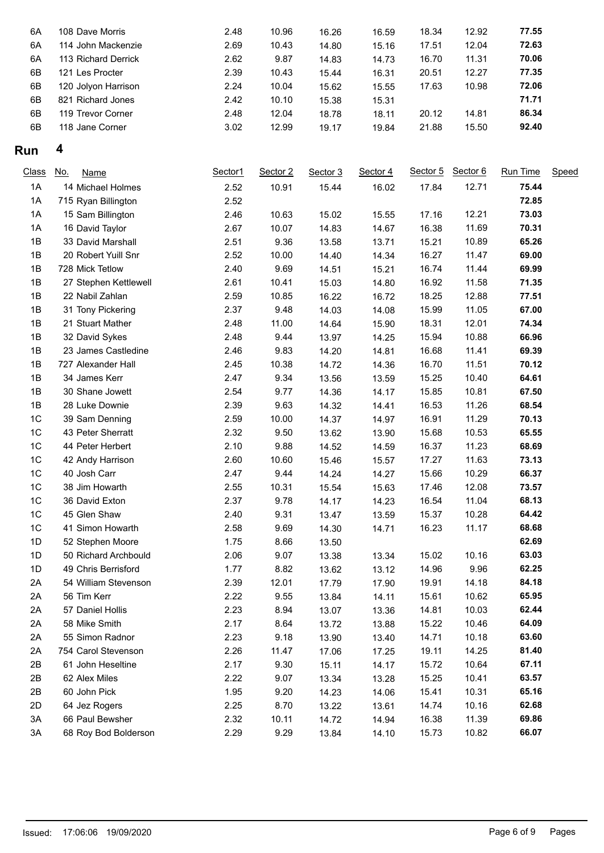| 6A | 108 Dave Morris     | 2.48 | 10.96 | 16.26 | 16.59 | 18.34 | 12.92 | 77.55 |
|----|---------------------|------|-------|-------|-------|-------|-------|-------|
| 6A | 114 John Mackenzie  | 2.69 | 10.43 | 14.80 | 15.16 | 17.51 | 12.04 | 72.63 |
| 6A | 113 Richard Derrick | 2.62 | 9.87  | 14.83 | 14.73 | 16.70 | 11.31 | 70.06 |
| 6B | 121 Les Procter     | 2.39 | 10.43 | 15.44 | 16.31 | 20.51 | 12.27 | 77.35 |
| 6B | 120 Jolyon Harrison | 2.24 | 10.04 | 15.62 | 15.55 | 17.63 | 10.98 | 72.06 |
| 6B | 821 Richard Jones   | 2.42 | 10.10 | 15.38 | 15.31 |       |       | 71.71 |
| 6B | 119 Trevor Corner   | 2.48 | 12.04 | 18.78 | 18.11 | 20.12 | 14.81 | 86.34 |
| 6B | 118 Jane Corner     | 3.02 | 12.99 | 19.17 | 19.84 | 21.88 | 15.50 | 92.40 |
|    |                     |      |       |       |       |       |       |       |

| Class | No.<br>Name           | Sector1 | Sector 2 | Sector 3 | Sector 4 | Sector 5 | Sector 6 | Run Time | Speed |
|-------|-----------------------|---------|----------|----------|----------|----------|----------|----------|-------|
| 1A    | 14 Michael Holmes     | 2.52    | 10.91    | 15.44    | 16.02    | 17.84    | 12.71    | 75.44    |       |
| 1A    | 715 Ryan Billington   | 2.52    |          |          |          |          |          | 72.85    |       |
| 1A    | 15 Sam Billington     | 2.46    | 10.63    | 15.02    | 15.55    | 17.16    | 12.21    | 73.03    |       |
| 1A    | 16 David Taylor       | 2.67    | 10.07    | 14.83    | 14.67    | 16.38    | 11.69    | 70.31    |       |
| 1B    | 33 David Marshall     | 2.51    | 9.36     | 13.58    | 13.71    | 15.21    | 10.89    | 65.26    |       |
| 1B    | 20 Robert Yuill Snr   | 2.52    | 10.00    | 14.40    | 14.34    | 16.27    | 11.47    | 69.00    |       |
| 1B    | 728 Mick Tetlow       | 2.40    | 9.69     | 14.51    | 15.21    | 16.74    | 11.44    | 69.99    |       |
| 1B    | 27 Stephen Kettlewell | 2.61    | 10.41    | 15.03    | 14.80    | 16.92    | 11.58    | 71.35    |       |
| 1B    | 22 Nabil Zahlan       | 2.59    | 10.85    | 16.22    | 16.72    | 18.25    | 12.88    | 77.51    |       |
| 1B    | 31 Tony Pickering     | 2.37    | 9.48     | 14.03    | 14.08    | 15.99    | 11.05    | 67.00    |       |
| 1B    | 21 Stuart Mather      | 2.48    | 11.00    | 14.64    | 15.90    | 18.31    | 12.01    | 74.34    |       |
| 1B    | 32 David Sykes        | 2.48    | 9.44     | 13.97    | 14.25    | 15.94    | 10.88    | 66.96    |       |
| 1B    | 23 James Castledine   | 2.46    | 9.83     | 14.20    | 14.81    | 16.68    | 11.41    | 69.39    |       |
| 1B    | 727 Alexander Hall    | 2.45    | 10.38    | 14.72    | 14.36    | 16.70    | 11.51    | 70.12    |       |
| 1B    | 34 James Kerr         | 2.47    | 9.34     | 13.56    | 13.59    | 15.25    | 10.40    | 64.61    |       |
| 1B    | 30 Shane Jowett       | 2.54    | 9.77     | 14.36    | 14.17    | 15.85    | 10.81    | 67.50    |       |
| 1B    | 28 Luke Downie        | 2.39    | 9.63     | 14.32    | 14.41    | 16.53    | 11.26    | 68.54    |       |
| 1C    | 39 Sam Denning        | 2.59    | 10.00    | 14.37    | 14.97    | 16.91    | 11.29    | 70.13    |       |
| 1C    | 43 Peter Sherratt     | 2.32    | 9.50     | 13.62    | 13.90    | 15.68    | 10.53    | 65.55    |       |
| 1C    | 44 Peter Herbert      | 2.10    | 9.88     | 14.52    | 14.59    | 16.37    | 11.23    | 68.69    |       |
| $1C$  | 42 Andy Harrison      | 2.60    | 10.60    | 15.46    | 15.57    | 17.27    | 11.63    | 73.13    |       |
| 1C    | 40 Josh Carr          | 2.47    | 9.44     | 14.24    | 14.27    | 15.66    | 10.29    | 66.37    |       |
| 1C    | 38 Jim Howarth        | 2.55    | 10.31    | 15.54    | 15.63    | 17.46    | 12.08    | 73.57    |       |
| 1C    | 36 David Exton        | 2.37    | 9.78     | 14.17    | 14.23    | 16.54    | 11.04    | 68.13    |       |
| 1C    | 45 Glen Shaw          | 2.40    | 9.31     | 13.47    | 13.59    | 15.37    | 10.28    | 64.42    |       |
| 1C    | 41 Simon Howarth      | 2.58    | 9.69     | 14.30    | 14.71    | 16.23    | 11.17    | 68.68    |       |
| 1D    | 52 Stephen Moore      | 1.75    | 8.66     | 13.50    |          |          |          | 62.69    |       |
| 1D    | 50 Richard Archbould  | 2.06    | 9.07     | 13.38    | 13.34    | 15.02    | 10.16    | 63.03    |       |
| 1D    | 49 Chris Berrisford   | 1.77    | 8.82     | 13.62    | 13.12    | 14.96    | 9.96     | 62.25    |       |
| 2A    | 54 William Stevenson  | 2.39    | 12.01    | 17.79    | 17.90    | 19.91    | 14.18    | 84.18    |       |
| 2A    | 56 Tim Kerr           | 2.22    | 9.55     | 13.84    | 14.11    | 15.61    | 10.62    | 65.95    |       |
| 2A    | 57 Daniel Hollis      | 2.23    | 8.94     | 13.07    | 13.36    | 14.81    | 10.03    | 62.44    |       |
| 2A    | 58 Mike Smith         | 2.17    | 8.64     | 13.72    | 13.88    | 15.22    | 10.46    | 64.09    |       |
| 2A    | 55 Simon Radnor       | 2.23    | 9.18     | 13.90    | 13.40    | 14.71    | 10.18    | 63.60    |       |
| 2A    | 754 Carol Stevenson   | 2.26    | 11.47    | 17.06    | 17.25    | 19.11    | 14.25    | 81.40    |       |
| 2B    | 61 John Heseltine     | 2.17    | 9.30     | 15.11    | 14.17    | 15.72    | 10.64    | 67.11    |       |
| 2B    | 62 Alex Miles         | 2.22    | 9.07     | 13.34    | 13.28    | 15.25    | 10.41    | 63.57    |       |
| 2B    | 60 John Pick          | 1.95    | 9.20     | 14.23    | 14.06    | 15.41    | 10.31    | 65.16    |       |
| 2D    | 64 Jez Rogers         | 2.25    | 8.70     | 13.22    | 13.61    | 14.74    | 10.16    | 62.68    |       |
| 3A    | 66 Paul Bewsher       | 2.32    | 10.11    | 14.72    | 14.94    | 16.38    | 11.39    | 69.86    |       |
| 3A    | 68 Roy Bod Bolderson  | 2.29    | 9.29     | 13.84    | 14.10    | 15.73    | 10.82    | 66.07    |       |
|       |                       |         |          |          |          |          |          |          |       |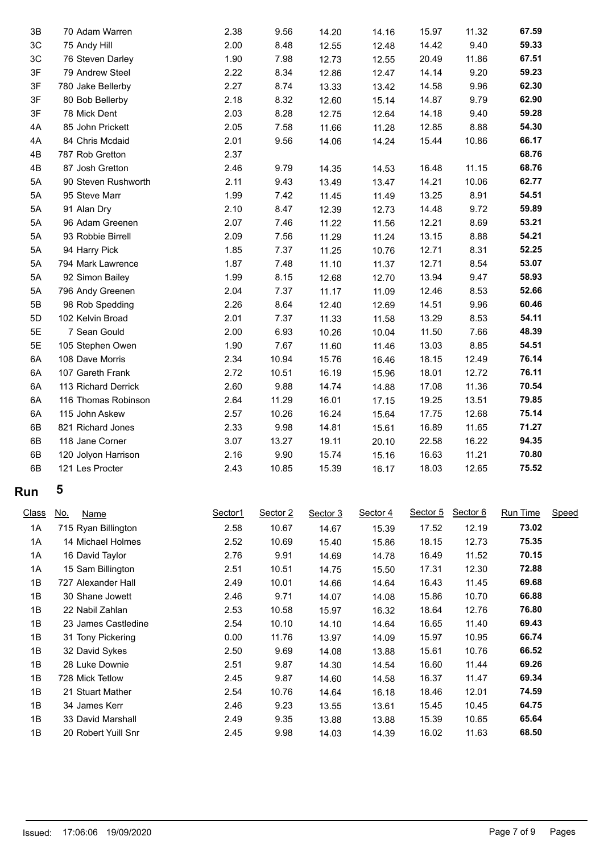| 3B | 70 Adam Warren      | 2.38 | 9.56  | 14.20 | 14.16 | 15.97 | 11.32 | 67.59 |
|----|---------------------|------|-------|-------|-------|-------|-------|-------|
| 3C | 75 Andy Hill        | 2.00 | 8.48  | 12.55 | 12.48 | 14.42 | 9.40  | 59.33 |
| 3C | 76 Steven Darley    | 1.90 | 7.98  | 12.73 | 12.55 | 20.49 | 11.86 | 67.51 |
| 3F | 79 Andrew Steel     | 2.22 | 8.34  | 12.86 | 12.47 | 14.14 | 9.20  | 59.23 |
| 3F | 780 Jake Bellerby   | 2.27 | 8.74  | 13.33 | 13.42 | 14.58 | 9.96  | 62.30 |
| 3F | 80 Bob Bellerby     | 2.18 | 8.32  | 12.60 | 15.14 | 14.87 | 9.79  | 62.90 |
| 3F | 78 Mick Dent        | 2.03 | 8.28  | 12.75 | 12.64 | 14.18 | 9.40  | 59.28 |
| 4A | 85 John Prickett    | 2.05 | 7.58  | 11.66 | 11.28 | 12.85 | 8.88  | 54.30 |
| 4A | 84 Chris Mcdaid     | 2.01 | 9.56  | 14.06 | 14.24 | 15.44 | 10.86 | 66.17 |
| 4B | 787 Rob Gretton     | 2.37 |       |       |       |       |       | 68.76 |
| 4B | 87 Josh Gretton     | 2.46 | 9.79  | 14.35 | 14.53 | 16.48 | 11.15 | 68.76 |
| 5A | 90 Steven Rushworth | 2.11 | 9.43  | 13.49 | 13.47 | 14.21 | 10.06 | 62.77 |
| 5A | 95 Steve Marr       | 1.99 | 7.42  | 11.45 | 11.49 | 13.25 | 8.91  | 54.51 |
| 5A | 91 Alan Dry         | 2.10 | 8.47  | 12.39 | 12.73 | 14.48 | 9.72  | 59.89 |
| 5A | 96 Adam Greenen     | 2.07 | 7.46  | 11.22 | 11.56 | 12.21 | 8.69  | 53.21 |
| 5A | 93 Robbie Birrell   | 2.09 | 7.56  | 11.29 | 11.24 | 13.15 | 8.88  | 54.21 |
| 5A | 94 Harry Pick       | 1.85 | 7.37  | 11.25 | 10.76 | 12.71 | 8.31  | 52.25 |
| 5A | 794 Mark Lawrence   | 1.87 | 7.48  | 11.10 | 11.37 | 12.71 | 8.54  | 53.07 |
| 5A | 92 Simon Bailey     | 1.99 | 8.15  | 12.68 | 12.70 | 13.94 | 9.47  | 58.93 |
| 5A | 796 Andy Greenen    | 2.04 | 7.37  | 11.17 | 11.09 | 12.46 | 8.53  | 52.66 |
| 5B | 98 Rob Spedding     | 2.26 | 8.64  | 12.40 | 12.69 | 14.51 | 9.96  | 60.46 |
| 5D | 102 Kelvin Broad    | 2.01 | 7.37  | 11.33 | 11.58 | 13.29 | 8.53  | 54.11 |
| 5E | 7 Sean Gould        | 2.00 | 6.93  | 10.26 | 10.04 | 11.50 | 7.66  | 48.39 |
| 5E | 105 Stephen Owen    | 1.90 | 7.67  | 11.60 | 11.46 | 13.03 | 8.85  | 54.51 |
| 6A | 108 Dave Morris     | 2.34 | 10.94 | 15.76 | 16.46 | 18.15 | 12.49 | 76.14 |
| 6A | 107 Gareth Frank    | 2.72 | 10.51 | 16.19 | 15.96 | 18.01 | 12.72 | 76.11 |
| 6A | 113 Richard Derrick | 2.60 | 9.88  | 14.74 | 14.88 | 17.08 | 11.36 | 70.54 |
| 6A | 116 Thomas Robinson | 2.64 | 11.29 | 16.01 | 17.15 | 19.25 | 13.51 | 79.85 |
| 6A | 115 John Askew      | 2.57 | 10.26 | 16.24 | 15.64 | 17.75 | 12.68 | 75.14 |
| 6B | 821 Richard Jones   | 2.33 | 9.98  | 14.81 | 15.61 | 16.89 | 11.65 | 71.27 |
| 6B | 118 Jane Corner     | 3.07 | 13.27 | 19.11 | 20.10 | 22.58 | 16.22 | 94.35 |
| 6B | 120 Jolyon Harrison | 2.16 | 9.90  | 15.74 | 15.16 | 16.63 | 11.21 | 70.80 |
| 6B | 121 Les Procter     | 2.43 | 10.85 | 15.39 | 16.17 | 18.03 | 12.65 | 75.52 |
|    |                     |      |       |       |       |       |       |       |

| <b>Class</b> | <u>No.</u><br>Name  |                     | Sector1 | Sector 2 | Sector 3 | Sector 4 | Sector 5 | Sector 6 | Run Time | Speed |
|--------------|---------------------|---------------------|---------|----------|----------|----------|----------|----------|----------|-------|
| 1A           | 715 Ryan Billington |                     | 2.58    | 10.67    | 14.67    | 15.39    | 17.52    | 12.19    | 73.02    |       |
| 1A           | 14 Michael Holmes   |                     | 2.52    | 10.69    | 15.40    | 15.86    | 18.15    | 12.73    | 75.35    |       |
| 1A           | 16 David Taylor     |                     | 2.76    | 9.91     | 14.69    | 14.78    | 16.49    | 11.52    | 70.15    |       |
| 1A           | 15 Sam Billington   |                     | 2.51    | 10.51    | 14.75    | 15.50    | 17.31    | 12.30    | 72.88    |       |
| 1B           | 727 Alexander Hall  |                     | 2.49    | 10.01    | 14.66    | 14.64    | 16.43    | 11.45    | 69.68    |       |
| 1B           | 30 Shane Jowett     |                     | 2.46    | 9.71     | 14.07    | 14.08    | 15.86    | 10.70    | 66.88    |       |
| 1B           | 22 Nabil Zahlan     |                     | 2.53    | 10.58    | 15.97    | 16.32    | 18.64    | 12.76    | 76.80    |       |
| 1B           |                     | 23 James Castledine | 2.54    | 10.10    | 14.10    | 14.64    | 16.65    | 11.40    | 69.43    |       |
| 1B           | 31 Tony Pickering   |                     | 0.00    | 11.76    | 13.97    | 14.09    | 15.97    | 10.95    | 66.74    |       |
| 1B           | 32 David Sykes      |                     | 2.50    | 9.69     | 14.08    | 13.88    | 15.61    | 10.76    | 66.52    |       |
| 1B           | 28 Luke Downie      |                     | 2.51    | 9.87     | 14.30    | 14.54    | 16.60    | 11.44    | 69.26    |       |
| 1B           | 728 Mick Tetlow     |                     | 2.45    | 9.87     | 14.60    | 14.58    | 16.37    | 11.47    | 69.34    |       |
| 1B           | 21 Stuart Mather    |                     | 2.54    | 10.76    | 14.64    | 16.18    | 18.46    | 12.01    | 74.59    |       |
| 1B           | 34 James Kerr       |                     | 2.46    | 9.23     | 13.55    | 13.61    | 15.45    | 10.45    | 64.75    |       |
| 1B           | 33 David Marshall   |                     | 2.49    | 9.35     | 13.88    | 13.88    | 15.39    | 10.65    | 65.64    |       |
| 1B           | 20 Robert Yuill Snr |                     | 2.45    | 9.98     | 14.03    | 14.39    | 16.02    | 11.63    | 68.50    |       |